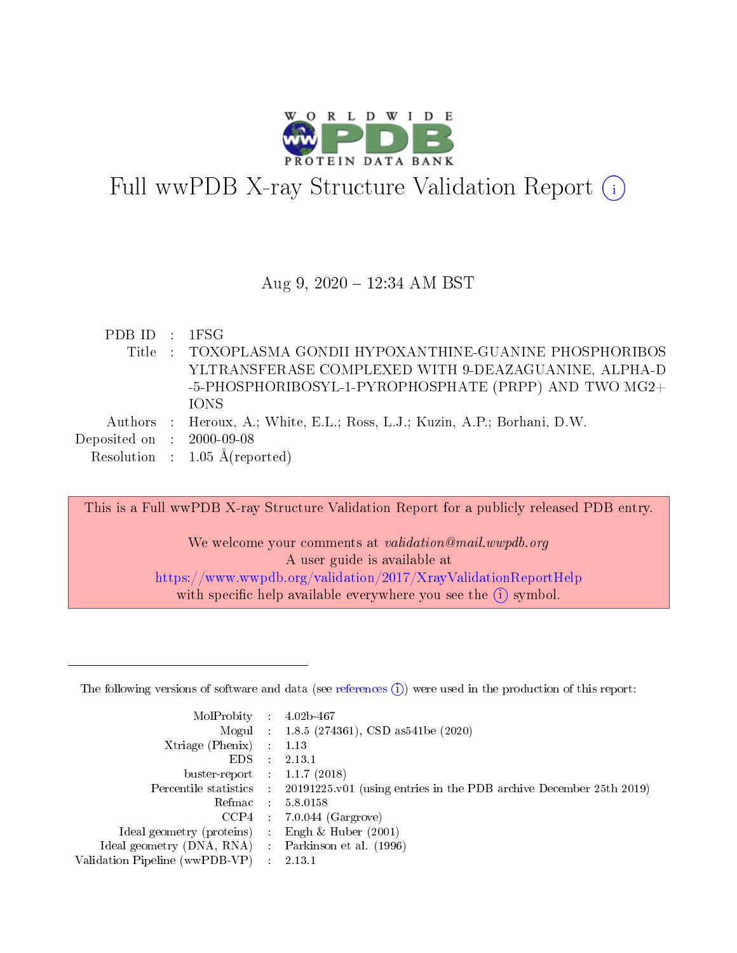

# Full wwPDB X-ray Structure Validation Report (i)

#### Aug 9, 2020 12:34 AM BST

|  | PDB ID : 1FSG                                                             |
|--|---------------------------------------------------------------------------|
|  | Title : TOXOPLASMA GONDII HYPOXANTHINE-GUANINE PHOSPHORIBOS               |
|  | YLTRANSFERASE COMPLEXED WITH 9-DEAZAGUANINE, ALPHA-D                      |
|  | -5-PHOSPHORIBOSYL-1-PYROPHOSPHATE (PRPP) AND TWO MG2+                     |
|  | <b>TONS</b>                                                               |
|  | Authors : Heroux, A.; White, E.L.; Ross, L.J.; Kuzin, A.P.; Borhani, D.W. |
|  | Deposited on : $2000-09-08$                                               |
|  | Resolution : $1.05 \text{ Å}$ (reported)                                  |

This is a Full wwPDB X-ray Structure Validation Report for a publicly released PDB entry.

We welcome your comments at *validation@mail.wwpdb.org* A user guide is available at <https://www.wwpdb.org/validation/2017/XrayValidationReportHelp> with specific help available everywhere you see the  $(i)$  symbol.

The following versions of software and data (see [references](https://www.wwpdb.org/validation/2017/XrayValidationReportHelp#references)  $(1)$ ) were used in the production of this report:

| MolProbity                     | $\mathcal{A}$ . | $4.02b-467$                                                        |
|--------------------------------|-----------------|--------------------------------------------------------------------|
|                                |                 | Mogul : $1.8.5$ (274361), CSD as 541be (2020)                      |
| Xtriage (Phenix)               | $\sim 10^{11}$  | 1.13                                                               |
| EDS.                           |                 | 2.13.1                                                             |
| buster-report : $1.1.7$ (2018) |                 |                                                                    |
| Percentile statistics :        |                 | 20191225.v01 (using entries in the PDB archive December 25th 2019) |
| Refmac :                       |                 | 5.8.0158                                                           |
| CCP4                           |                 | $7.0.044$ (Gargrove)                                               |
| Ideal geometry (proteins) :    |                 | Engh $\&$ Huber (2001)                                             |
| Ideal geometry (DNA, RNA) :    |                 | Parkinson et al. (1996)                                            |
| Validation Pipeline (wwPDB-VP) |                 | 2.13.1                                                             |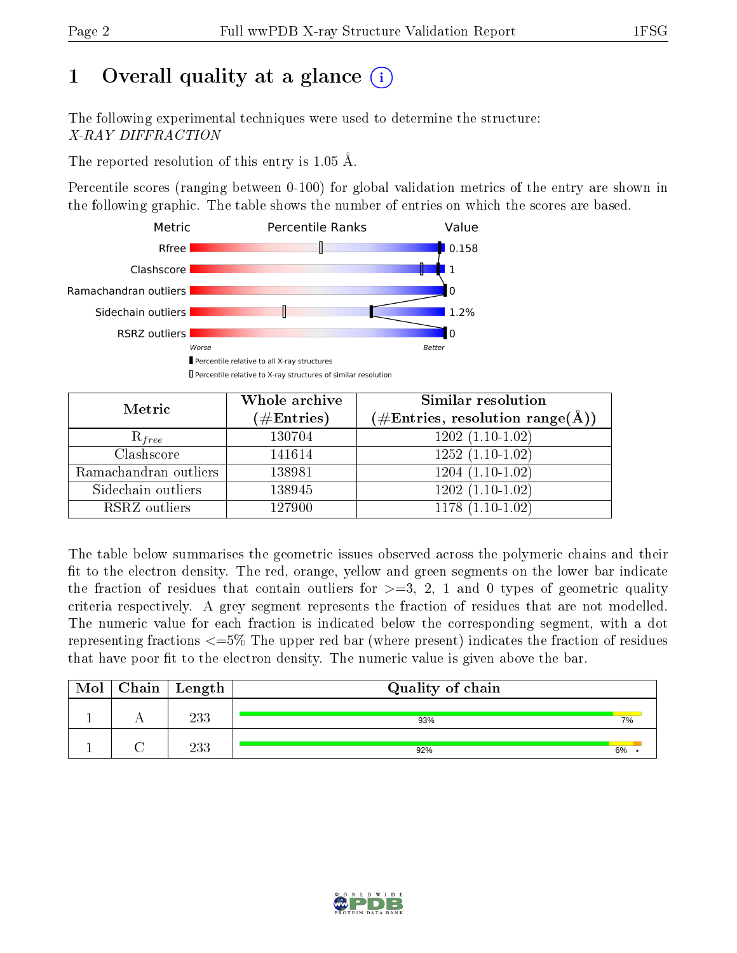# 1 [O](https://www.wwpdb.org/validation/2017/XrayValidationReportHelp#overall_quality)verall quality at a glance  $(i)$

The following experimental techniques were used to determine the structure: X-RAY DIFFRACTION

The reported resolution of this entry is 1.05 Å.

Percentile scores (ranging between 0-100) for global validation metrics of the entry are shown in the following graphic. The table shows the number of entries on which the scores are based.



| Metric                | Whole archive<br>$(\#\text{Entries})$ | Similar resolution<br>$(\#\text{Entries}, \text{resolution range}(\text{\AA}))$ |
|-----------------------|---------------------------------------|---------------------------------------------------------------------------------|
| $R_{free}$            | 130704                                | $1202(1.10-1.02)$                                                               |
| Clashscore            | 141614                                | $1252(1.10-1.02)$                                                               |
| Ramachandran outliers | 138981                                | $1204(1.10-1.02)$                                                               |
| Sidechain outliers    | 138945                                | $1202(1.10-1.02)$                                                               |
| RSRZ outliers         | 127900                                | $1178(1.10-1.02)$                                                               |

The table below summarises the geometric issues observed across the polymeric chains and their fit to the electron density. The red, orange, yellow and green segments on the lower bar indicate the fraction of residues that contain outliers for  $>=3, 2, 1$  and 0 types of geometric quality criteria respectively. A grey segment represents the fraction of residues that are not modelled. The numeric value for each fraction is indicated below the corresponding segment, with a dot representing fractions  $\epsilon=5\%$  The upper red bar (where present) indicates the fraction of residues that have poor fit to the electron density. The numeric value is given above the bar.

| Mol | $Chain$ Length | Quality of chain |    |
|-----|----------------|------------------|----|
|     | 233            | 93%              | 7% |
|     | 233            | 92%              | 6% |

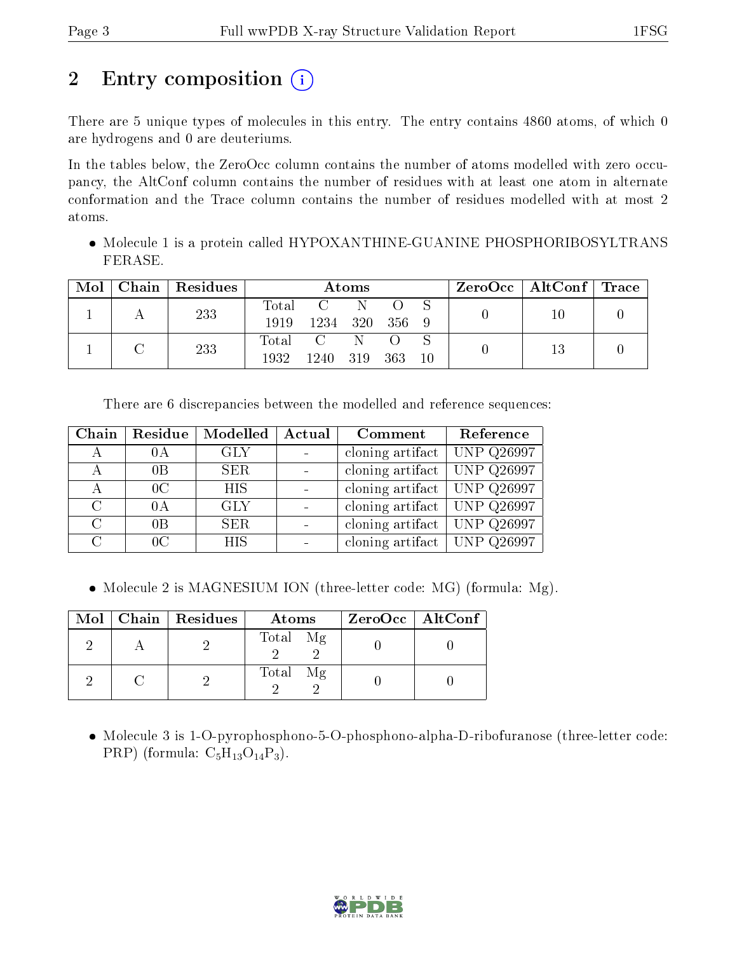# 2 Entry composition  $\left( \cdot \right)$

There are 5 unique types of molecules in this entry. The entry contains 4860 atoms, of which 0 are hydrogens and 0 are deuteriums.

In the tables below, the ZeroOcc column contains the number of atoms modelled with zero occupancy, the AltConf column contains the number of residues with at least one atom in alternate conformation and the Trace column contains the number of residues modelled with at most 2 atoms.

 Molecule 1 is a protein called HYPOXANTHINE-GUANINE PHOSPHORIBOSYLTRANS FERASE.

| Mol | Chain   Residues | Atoms         |                                |      | $\text{ZeroOcc} \mid \text{AltConf} \mid \text{Trace}$ |    |  |  |
|-----|------------------|---------------|--------------------------------|------|--------------------------------------------------------|----|--|--|
|     | 233              | Total<br>1919 | $\mathbf{C}$<br>1234 320 356 9 |      |                                                        |    |  |  |
|     | 233              | 1932          | Total C N<br>1240              | -319 | - 363                                                  | 10 |  |  |

There are 6 discrepancies between the modelled and reference sequences:

| Chain         | Residue        | Modelled   | Actual<br>Comment |                                                                     | Reference         |
|---------------|----------------|------------|-------------------|---------------------------------------------------------------------|-------------------|
|               | 0 A            | <b>GLY</b> |                   | cloning artifact                                                    | $UNP$ Q26997      |
| А             | 0B             | <b>SER</b> |                   | cloning artifact                                                    | <b>UNP Q26997</b> |
| А             | 0 <sup>C</sup> | <b>HIS</b> |                   | cloning artifact   UNP $\overline{Q}26997$                          |                   |
| $\mathcal{C}$ | 0A             | <b>GLY</b> |                   | cloning $\overline{\text{artifact}}$ UNP $\overline{\text{Q}26997}$ |                   |
| $\mathcal{C}$ | 0B             | <b>SER</b> |                   | cloning artifact                                                    | <b>UNP Q26997</b> |
| $\cap$        | 0 <sup>C</sup> | <b>HIS</b> |                   | cloning artifact UNP $Q26997$                                       |                   |

• Molecule 2 is MAGNESIUM ION (three-letter code: MG) (formula: Mg).

|  | Mol   Chain   Residues | Atoms       | $ZeroOcc \   \$ AltConf |
|--|------------------------|-------------|-------------------------|
|  |                        | Total Mg    |                         |
|  |                        | Total<br>Mg |                         |

• Molecule 3 is 1-O-pyrophosphono-5-O-phosphono-alpha-D-ribofuranose (three-letter code: PRP) (formula:  $C_5H_{13}O_{14}P_3$ ).

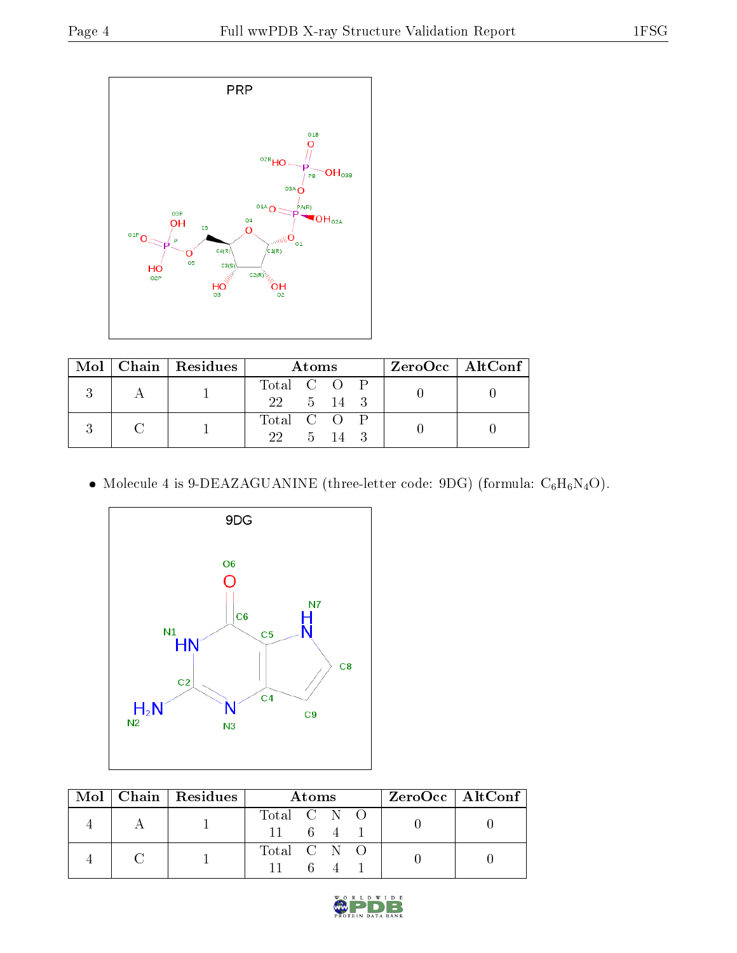

|  | Mol   Chain   Residues | Atoms                |  |      |  | ZeroOcc   AltConf |  |  |
|--|------------------------|----------------------|--|------|--|-------------------|--|--|
|  |                        | Total C O P          |  |      |  |                   |  |  |
|  |                        | $22 \t 5 \t 14 \t 3$ |  |      |  |                   |  |  |
|  |                        | Total C O P          |  |      |  |                   |  |  |
|  |                        | $22-$                |  | 5 14 |  |                   |  |  |

 $\bullet$  Molecule 4 is 9-DEAZAGUANINE (three-letter code: 9DG) (formula:  $\mathrm{C_6H_6N_4O}).$ 



| Mol | $\vert$ Chain   Residues | Atoms          |      |  |  | $ZeroOcc \   \$ AltConf $\  $ |  |
|-----|--------------------------|----------------|------|--|--|-------------------------------|--|
|     |                          | Total C N O    |      |  |  |                               |  |
|     |                          | $11 \t 6 \t 4$ |      |  |  |                               |  |
|     |                          | Total C N O    |      |  |  |                               |  |
|     |                          |                | $-6$ |  |  |                               |  |

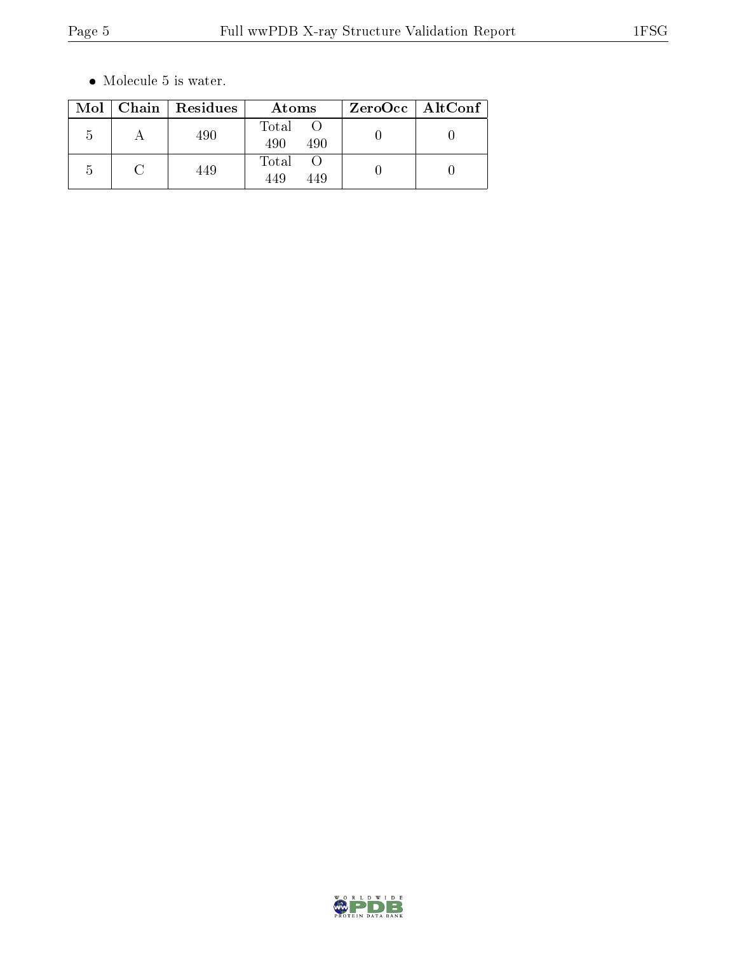$\bullet\,$  Molecule 5 is water.

|            | Mol   Chain   Residues | Atoms               | $ZeroOcc \mid AltConf \mid$ |
|------------|------------------------|---------------------|-----------------------------|
| h          | 490                    | Total<br>490<br>490 |                             |
| $\sqrt{ }$ | 449                    | Total<br>449<br>449 |                             |

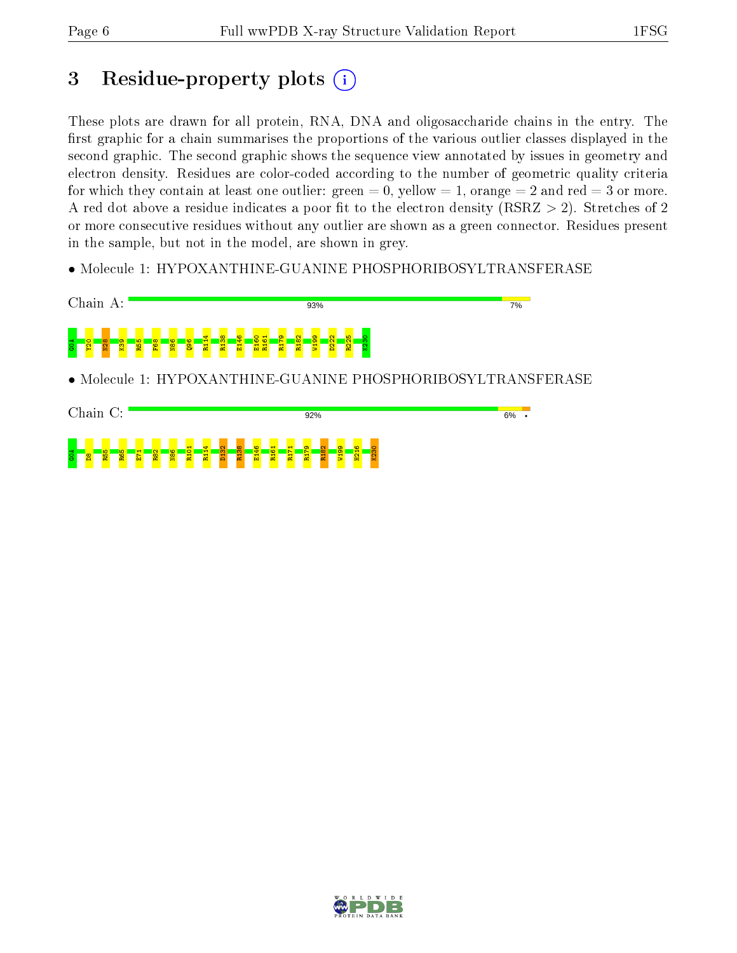$\frac{3}{5}$   $\frac{8}{8}$   $\frac{8}{8}$   $\frac{6}{8}$ 

 $E_1$  $\frac{1}{2}$ N86 R101 R114 D132 R138 E146 R161 R171 R179 R182 W199 H216 K230

# 3 Residue-property plots  $(i)$

These plots are drawn for all protein, RNA, DNA and oligosaccharide chains in the entry. The first graphic for a chain summarises the proportions of the various outlier classes displayed in the second graphic. The second graphic shows the sequence view annotated by issues in geometry and electron density. Residues are color-coded according to the number of geometric quality criteria for which they contain at least one outlier: green  $= 0$ , yellow  $= 1$ , orange  $= 2$  and red  $= 3$  or more. A red dot above a residue indicates a poor fit to the electron density ( $\text{RSRZ} > 2$ ). Stretches of 2 or more consecutive residues without any outlier are shown as a green connector. Residues present in the sample, but not in the model, are shown in grey.

• Molecule 1: HYPOXANTHINE-GUANINE PHOSPHORIBOSYLTRANSFERASE



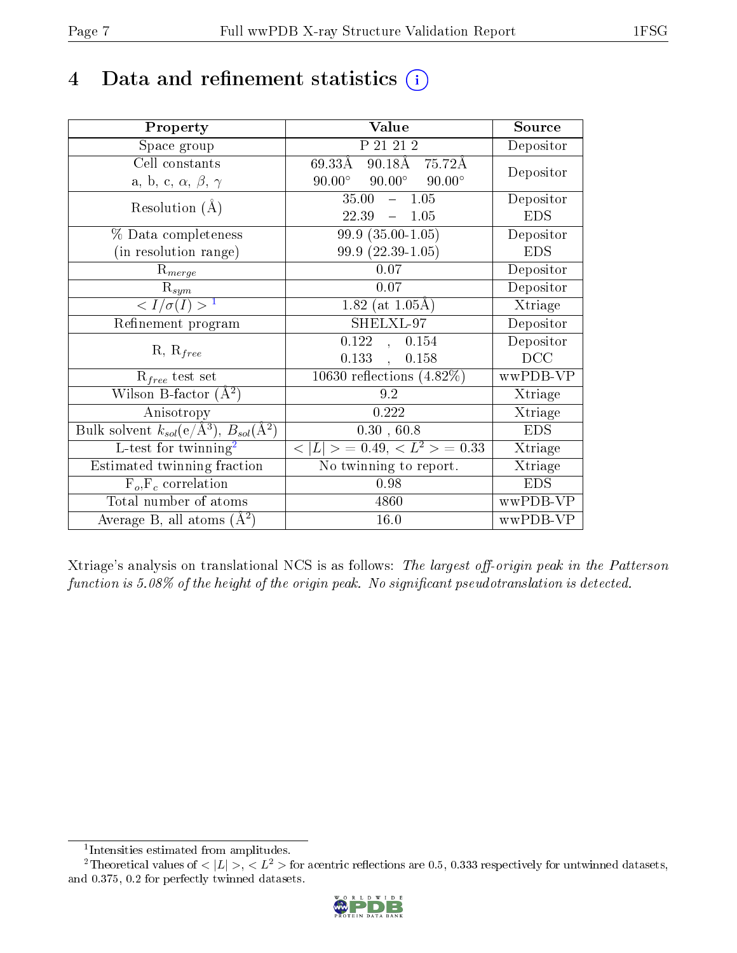# 4 Data and refinement statistics  $(i)$

| Property                                                         | Value                                           | Source     |
|------------------------------------------------------------------|-------------------------------------------------|------------|
| Space group                                                      | P 21 21 2                                       | Depositor  |
| Cell constants                                                   | $90.18\text{\AA}$ 75.72Å<br>$69.33\text{\AA}$   | Depositor  |
| a, b, c, $\alpha$ , $\beta$ , $\gamma$                           | $90.00^\circ$<br>$90.00^\circ$<br>$90.00^\circ$ |            |
| Resolution $(A)$                                                 | 35.00<br>1.05<br>$\frac{1}{2}$                  | Depositor  |
|                                                                  | 22.39<br>$-1.05$                                | <b>EDS</b> |
| % Data completeness                                              | $99.9(35.00-1.05)$                              | Depositor  |
| (in resolution range)                                            | 99.9 (22.39-1.05)                               | <b>EDS</b> |
| $R_{merge}$                                                      | 0.07                                            | Depositor  |
| $\mathrm{R}_{sym}$                                               | 0.07                                            | Depositor  |
| $\langle I/\sigma(I) \rangle^{-1}$                               | 1.82 (at $1.05\text{\AA}$ )                     | Xtriage    |
| Refinement program                                               | SHELXL-97                                       | Depositor  |
| $R, R_{free}$                                                    | 0.122<br>0.154<br>$\ddot{\phantom{0}}$          | Depositor  |
|                                                                  | 0.133<br>0.158<br>$\ddot{\phantom{a}}$          | DCC        |
| $R_{free}$ test set                                              | 10630 reflections $(4.82\%)$                    | wwPDB-VP   |
| Wilson B-factor $(A^2)$                                          | 9.2                                             | Xtriage    |
| Anisotropy                                                       | 0.222                                           | Xtriage    |
| Bulk solvent $k_{sol}(\text{e}/\text{A}^3), B_{sol}(\text{A}^2)$ | 0.30, 60.8                                      | <b>EDS</b> |
| L-test for twinning <sup>2</sup>                                 | $< L >$ = 0.49, $< L2$ = 0.33                   | Xtriage    |
| Estimated twinning fraction                                      | No twinning to report.                          | Xtriage    |
| $F_o, F_c$ correlation                                           | 0.98                                            | <b>EDS</b> |
| Total number of atoms                                            | 4860                                            | wwPDB-VP   |
| Average B, all atoms $(A^2)$                                     | 16.0                                            | wwPDB-VP   |

Xtriage's analysis on translational NCS is as follows: The largest off-origin peak in the Patterson function is  $5.08\%$  of the height of the origin peak. No significant pseudotranslation is detected.

<sup>&</sup>lt;sup>2</sup>Theoretical values of  $\langle |L| \rangle$ ,  $\langle L^2 \rangle$  for acentric reflections are 0.5, 0.333 respectively for untwinned datasets, and 0.375, 0.2 for perfectly twinned datasets.



<span id="page-6-1"></span><span id="page-6-0"></span><sup>1</sup> Intensities estimated from amplitudes.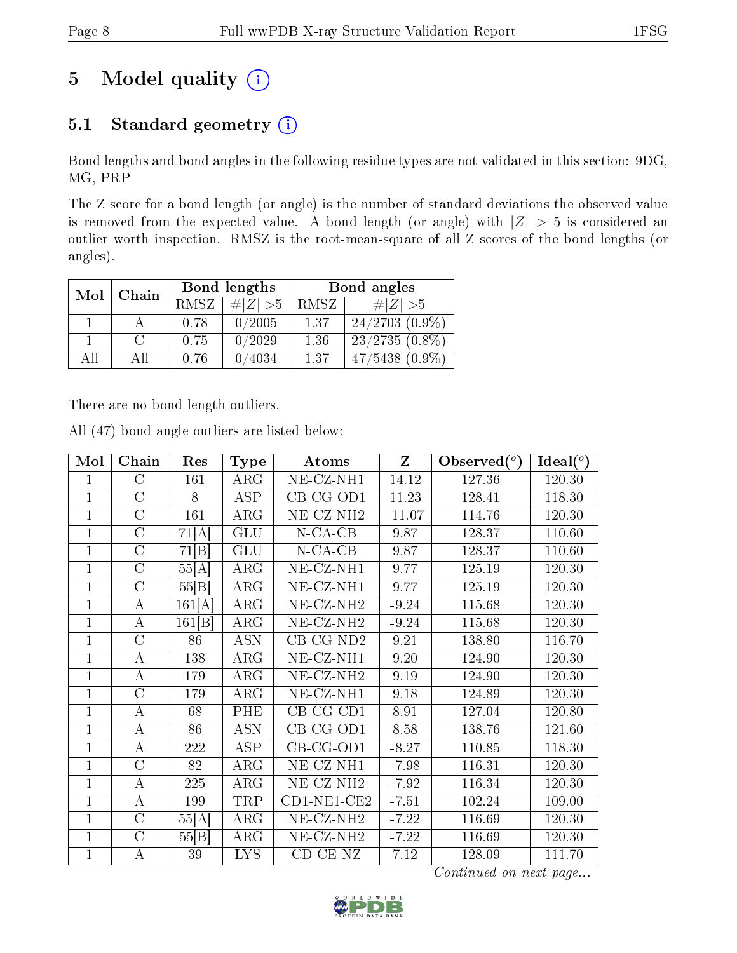# 5 Model quality  $(i)$

### 5.1 Standard geometry (i)

Bond lengths and bond angles in the following residue types are not validated in this section: 9DG, MG, PRP

The Z score for a bond length (or angle) is the number of standard deviations the observed value is removed from the expected value. A bond length (or angle) with  $|Z| > 5$  is considered an outlier worth inspection. RMSZ is the root-mean-square of all Z scores of the bond lengths (or angles).

| Mol | Chain |             | Bond lengths | Bond angles |                     |  |
|-----|-------|-------------|--------------|-------------|---------------------|--|
|     |       | <b>RMSZ</b> | # $ Z  > 5$  | RMSZ        | # $ Z  > 5$         |  |
|     |       | 0.78        | 0/2005       | 1.37        | $24/2703(0.9\%)$    |  |
|     |       | 0.75        | 0/2029       | 1.36        | $23/2735(0.8\%)$    |  |
| All | Αll   | 0.76        | 0/4034       | 1.37        | $47/5438$ $(0.9\%)$ |  |

There are no bond length outliers.

All (47) bond angle outliers are listed below:

| Mol          | Chain          | Res    | <b>Type</b> | Atoms                          | $\mathbf{Z}$ | Observed $(°)$ | Ideal $(°)$ |
|--------------|----------------|--------|-------------|--------------------------------|--------------|----------------|-------------|
| 1            | $\rm C$        | 161    | ARG         | $\overline{\text{NE-CL-NH1}}$  | 14.12        | 127.36         | 120.30      |
| $\mathbf{1}$ | $\mathcal{C}$  | 8      | ASP         | $CB-CG-OD1$                    | 11.23        | 128.41         | 118.30      |
| $\mathbf{1}$ | $\overline{C}$ | 161    | ARG         | $NE-CZ-NH2$                    | $-11.07$     | 114.76         | 120.30      |
| $\mathbf{1}$ | $\overline{C}$ | 71[A]  | GLU         | $N$ -CA-CB                     | 9.87         | 128.37         | 110.60      |
| $\mathbf{1}$ | $\overline{C}$ | 71[B]  | <b>GLU</b>  | $N$ -CA-CB                     | 9.87         | 128.37         | 110.60      |
| $\mathbf{1}$ | $\mathcal{C}$  | 55[A]  | ARG         | $NE- CZ-NH1$                   | 9.77         | 125.19         | 120.30      |
| $\mathbf{1}$ | $\overline{C}$ | 55[B]  | ARG         | NE-CZ-NH1                      | 9.77         | 125.19         | 120.30      |
| $\mathbf{1}$ | $\bf{A}$       | 161[A] | ARG         | NE-CZ-NH <sub>2</sub>          | $-9.24$      | 115.68         | 120.30      |
| $\mathbf{1}$ | $\bf{A}$       | 161 B  | $\rm{ARG}$  | NE-CZ-NH <sub>2</sub>          | $-9.24$      | 115.68         | 120.30      |
| $\mathbf{1}$ | $\overline{C}$ | 86     | <b>ASN</b>  | $CB-CG-ND2$                    | 9.21         | 138.80         | 116.70      |
| $\mathbf{1}$ | A              | 138    | ARG         | $\overline{\text{NE}}$ -CZ-NH1 | 9.20         | 124.90         | 120.30      |
| $\mathbf{1}$ | A              | 179    | ARG         | NE-CZ-NH <sub>2</sub>          | 9.19         | 124.90         | 120.30      |
| $\mathbf{1}$ | $\overline{C}$ | 179    | ARG         | NE-CZ-NH1                      | 9.18         | 124.89         | 120.30      |
| $\mathbf{1}$ | A              | 68     | PHE         | $CB-CG-CD1$                    | 8.91         | 127.04         | 120.80      |
| $\mathbf{1}$ | $\bf{A}$       | 86     | <b>ASN</b>  | $CB-CG-OD1$                    | 8.58         | 138.76         | 121.60      |
| 1            | А              | 222    | ASP         | $CB-CG-OD1$                    | $-8.27$      | 110.85         | 118.30      |
| $\mathbf{1}$ | $\overline{C}$ | 82     | ARG         | NE-CZ-NH1                      | $-7.98$      | 116.31         | 120.30      |
| $\mathbf{1}$ | A              | 225    | ARG         | NE-CZ-NH <sub>2</sub>          | $-7.92$      | 116.34         | 120.30      |
| $\mathbf{1}$ | A              | 199    | TRP         | $CD1-NE1-CE2$                  | $-7.51$      | 102.24         | 109.00      |
| $\mathbf{1}$ | $\overline{C}$ | 55[A]  | ARG         | NE-CZ-NH <sub>2</sub>          | $-7.22$      | 116.69         | 120.30      |
| $\mathbf{1}$ | $\rm C$        | 55 B   | ARG         | NE-CZ-NH <sub>2</sub>          | $-7.22$      | 116.69         | 120.30      |
| $\mathbf{1}$ | А              | 39     | <b>LYS</b>  | $CD-CE-NZ$                     | 7.12         | 128.09         | 111.70      |

Continued on next page...

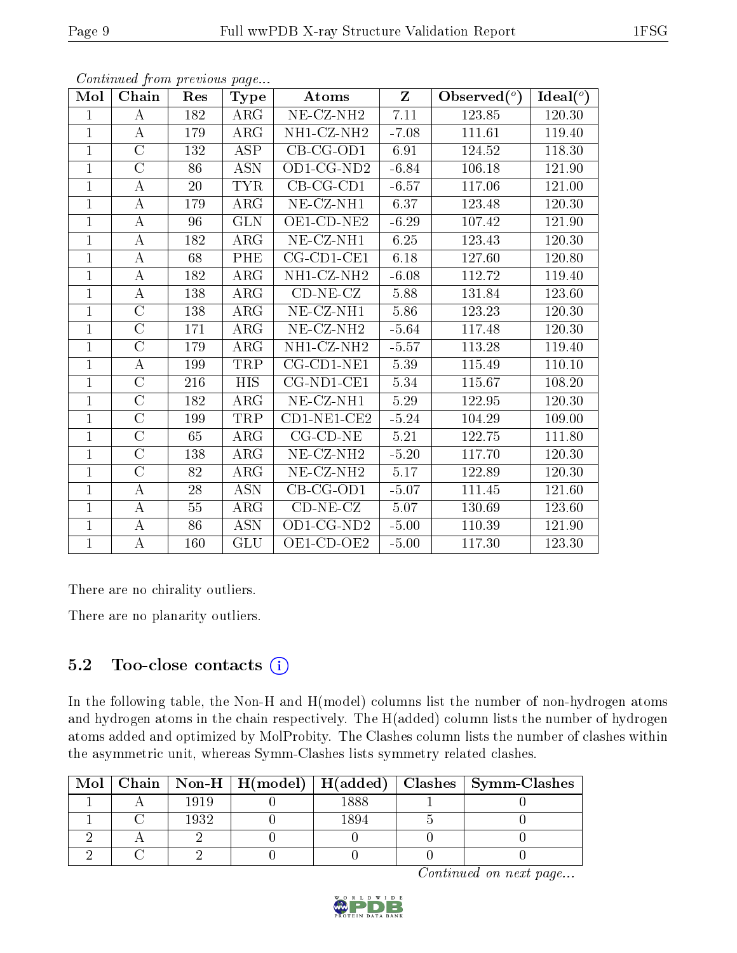| Continued from previous page |                    |     |                         |                          |                         |                |             |  |  |  |
|------------------------------|--------------------|-----|-------------------------|--------------------------|-------------------------|----------------|-------------|--|--|--|
| Mol                          | Chain              | Res | <b>Type</b>             | <b>Atoms</b>             | $\overline{\mathbf{Z}}$ | Observed $(°)$ | Ideal $(°)$ |  |  |  |
| $\mathbf{1}$                 | $\bf{A}$           | 182 | $\rm{ARG}$              | $NE$ -CZ-NH <sub>2</sub> | 7.11                    | 123.85         | 120.30      |  |  |  |
| $\mathbf{1}$                 | $\bf{A}$           | 179 | $\rm{ARG}$              | NH1-CZ-NH2               | $-7.08$                 | 111.61         | 119.40      |  |  |  |
| $\mathbf{1}$                 | $\overline{C}$     | 132 | <b>ASP</b>              | $CB-CG-OD1$              | 6.91                    | 124.52         | 118.30      |  |  |  |
| $\mathbf{1}$                 | $\overline{C}$     | 86  | <b>ASN</b>              | OD1-CG-ND2               | $-6.84$                 | 106.18         | 121.90      |  |  |  |
| $\mathbf{1}$                 | A                  | 20  | <b>TYR</b>              | $CB-CG-CD1$              | $-6.57$                 | 117.06         | 121.00      |  |  |  |
| $\mathbf{1}$                 | $\boldsymbol{A}$   | 179 | <b>ARG</b>              | NE-CZ-NH1                | 6.37                    | 123.48         | 120.30      |  |  |  |
| $\mathbf{1}$                 | А                  | 96  | <b>GLN</b>              | OE1-CD-NE2               | $-6.29$                 | 107.42         | 121.90      |  |  |  |
| $\mathbf{1}$                 | $\boldsymbol{A}$   | 182 | <b>ARG</b>              | $NE$ -CZ-NH1             | 6.25                    | 123.43         | 120.30      |  |  |  |
| $\mathbf{1}$                 | $\boldsymbol{A}$   | 68  | PHE                     | $CG$ - $CD1$ - $CE1$     | 6.18                    | 127.60         | 120.80      |  |  |  |
| $\mathbf{1}$                 | $\boldsymbol{A}$   | 182 | $\overline{\text{ARG}}$ | NH1-CZ-NH2               | $-6.08$                 | 112.72         | 119.40      |  |  |  |
| $\mathbf{1}$                 | A                  | 138 | <b>ARG</b>              | $CD-NE- CZ$              | 5.88                    | 131.84         | 123.60      |  |  |  |
| $\mathbf{1}$                 | $\overline{\rm C}$ | 138 | $\rm{ARG}$              | NE-CZ-NH1                | 5.86                    | 123.23         | 120.30      |  |  |  |
| $\mathbf{1}$                 | $\overline{C}$     | 171 | <b>ARG</b>              | NE-CZ-NH <sub>2</sub>    | $-5.64$                 | 117.48         | 120.30      |  |  |  |
| $\mathbf{1}$                 | $\overline{C}$     | 179 | $\rm{ARG}$              | NH1-CZ-NH2               | $-5.57$                 | 113.28         | 119.40      |  |  |  |
| $\mathbf{1}$                 | А                  | 199 | <b>TRP</b>              | CG-CD1-NE1               | 5.39                    | 115.49         | 110.10      |  |  |  |
| $\mathbf{1}$                 | $\overline{C}$     | 216 | <b>HIS</b>              | CG-ND1-CE1               | 5.34                    | 115.67         | 108.20      |  |  |  |
| $\mathbf{1}$                 | $\overline{\rm C}$ | 182 | <b>ARG</b>              | $NE$ -CZ-NH1             | 5.29                    | 122.95         | 120.30      |  |  |  |
| $\mathbf{1}$                 | $\overline{C}$     | 199 | TRP                     | $CD1-NE1-CE2$            | $-5.24$                 | 104.29         | 109.00      |  |  |  |
| $\mathbf{1}$                 | $\overline{C}$     | 65  | $\rm{ARG}$              | $CG$ - $CD$ - $NE$       | 5.21                    | 122.75         | 111.80      |  |  |  |
| $\mathbf{1}$                 | $\overline{\rm C}$ | 138 | ARG                     | NE-CZ-NH <sub>2</sub>    | $-5.20$                 | 117.70         | 120.30      |  |  |  |
| $\mathbf{1}$                 | $\overline{\rm C}$ | 82  | <b>ARG</b>              | NE-CZ-NH <sub>2</sub>    | 5.17                    | 122.89         | 120.30      |  |  |  |
| $\mathbf{1}$                 | А                  | 28  | $\overline{ASN}$        | $CB-CG-OD1$              | $-5.07$                 | 111.45         | 121.60      |  |  |  |
| $\mathbf{1}$                 | А                  | 55  | ARG                     | $CD-NE- CZ$              | 5.07                    | 130.69         | 123.60      |  |  |  |
| $\mathbf{1}$                 | $\overline{\rm A}$ | 86  | <b>ASN</b>              | OD1-CG-ND2               | $-5.00$                 | 110.39         | 121.90      |  |  |  |
| $\mathbf{1}$                 | A                  | 160 | GLU                     | OE1-CD-OE2               | $-5.00$                 | 117.30         | 123.30      |  |  |  |

There are no chirality outliers.

There are no planarity outliers.

### 5.2 Too-close contacts  $(i)$

In the following table, the Non-H and H(model) columns list the number of non-hydrogen atoms and hydrogen atoms in the chain respectively. The H(added) column lists the number of hydrogen atoms added and optimized by MolProbity. The Clashes column lists the number of clashes within the asymmetric unit, whereas Symm-Clashes lists symmetry related clashes.

| Mol |      |      | Chain   Non-H   H(model)   H(added)   Clashes   Symm-Clashes |
|-----|------|------|--------------------------------------------------------------|
|     | 1919 | 1888 |                                                              |
|     | 1932 | '89∠ |                                                              |
|     |      |      |                                                              |
|     |      |      |                                                              |

Continued on next page...

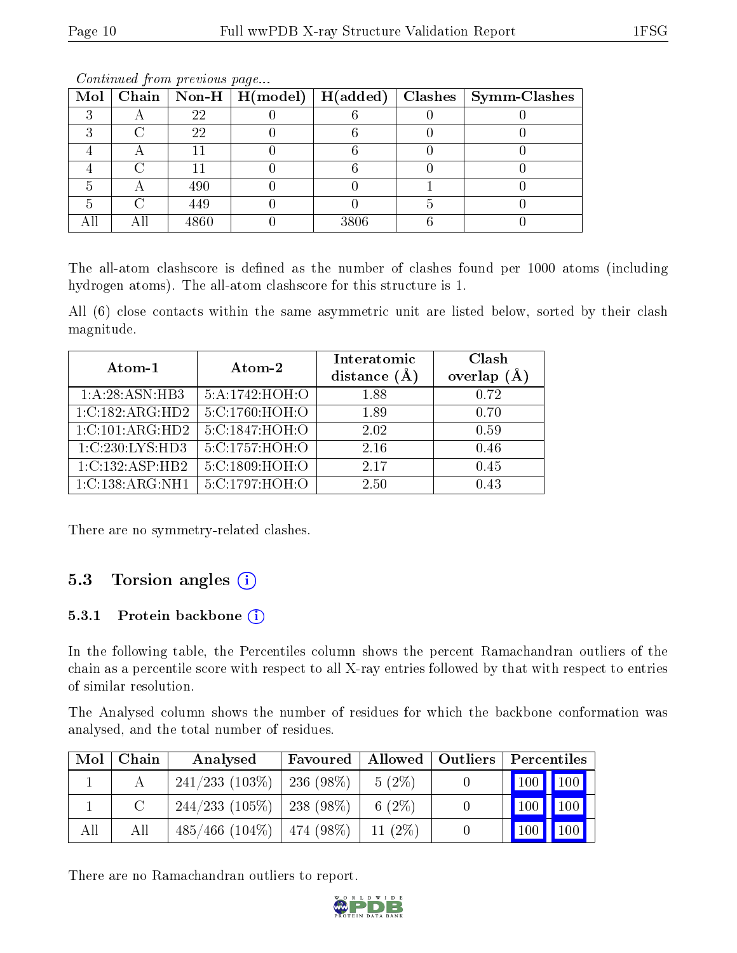|  |      |      | Mol   Chain   Non-H   H(model)   H(added)   Clashes   Symm-Clashes |
|--|------|------|--------------------------------------------------------------------|
|  | 22   |      |                                                                    |
|  | 22   |      |                                                                    |
|  |      |      |                                                                    |
|  |      |      |                                                                    |
|  | 490  |      |                                                                    |
|  | 449  |      |                                                                    |
|  | 4860 | 3806 |                                                                    |

Continued from previous page...

The all-atom clashscore is defined as the number of clashes found per 1000 atoms (including hydrogen atoms). The all-atom clashscore for this structure is 1.

All (6) close contacts within the same asymmetric unit are listed below, sorted by their clash magnitude.

| Atom-1          | Atom-2         | Interatomic<br>distance $(A)$ | Clash<br>$(\AA)$<br>overlap |  |
|-----------------|----------------|-------------------------------|-----------------------------|--|
| 1:A:28:ASN:HB3  | 5:A:1742:HOH:O | 1.88                          | 0.72                        |  |
| 1:C:182:ARG:HD2 | 5:C:1760:HOH:O | 1.89                          | 0.70                        |  |
| 1:C:101:ARG:HD2 | 5:C:1847:HOH:O | 2.02                          | 0.59                        |  |
| 1:C:230:LYS:HD3 | 5:C:1757:HOH:O | 2.16                          | 0.46                        |  |
| 1:C:132:ASP:HB2 | 5:C:1809:HOH:O | 2.17                          | 0.45                        |  |
| 1:C:138:ARG:NH1 | 5:C:1797:HOH:O | 2.50                          | 0.43                        |  |

There are no symmetry-related clashes.

### 5.3 Torsion angles (i)

#### 5.3.1 Protein backbone (i)

In the following table, the Percentiles column shows the percent Ramachandran outliers of the chain as a percentile score with respect to all X-ray entries followed by that with respect to entries of similar resolution.

The Analysed column shows the number of residues for which the backbone conformation was analysed, and the total number of residues.

| Mol | Chain | Analysed                       | Favoured  |           | Allowed   Outliers |     | Percentiles   |  |  |
|-----|-------|--------------------------------|-----------|-----------|--------------------|-----|---------------|--|--|
|     |       | 241/233(103%)                  | 236 (98%) | $5(2\%)$  |                    |     | 100 100       |  |  |
|     |       | $244/233$ (105\%)   238 (98\%) |           | 6 $(2\%)$ |                    |     | $100$   $100$ |  |  |
| All | All   | $485/466$ (104\%)   474 (98\%) |           | $11(2\%)$ |                    | 100 | $ 100\rangle$ |  |  |

There are no Ramachandran outliers to report.

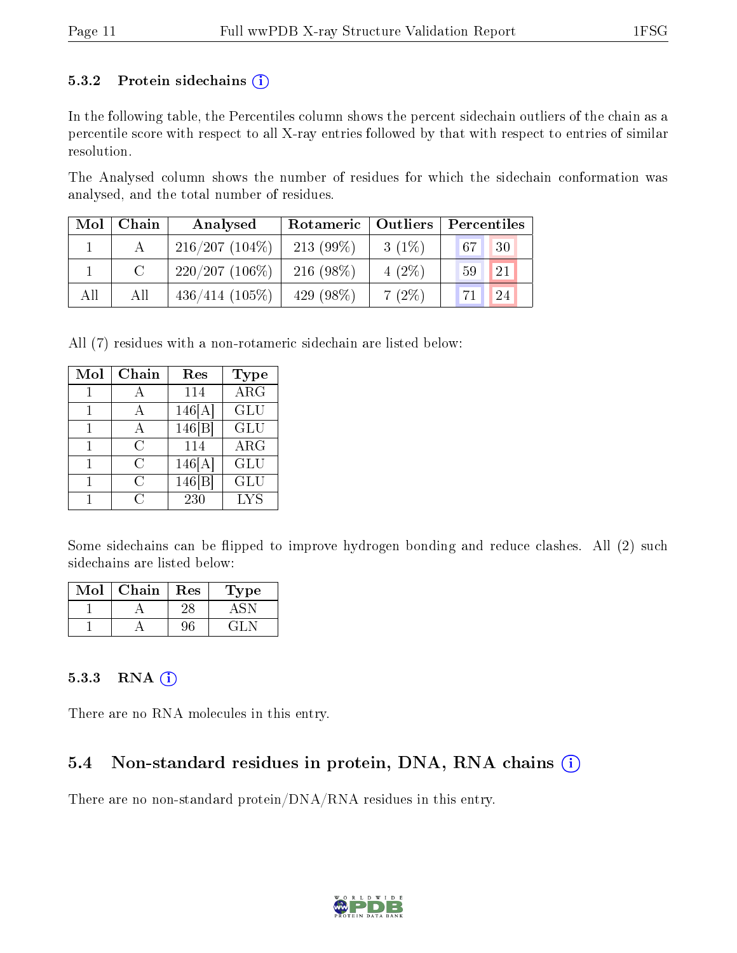#### 5.3.2 Protein sidechains  $(i)$

In the following table, the Percentiles column shows the percent sidechain outliers of the chain as a percentile score with respect to all X-ray entries followed by that with respect to entries of similar resolution.

The Analysed column shows the number of residues for which the sidechain conformation was analysed, and the total number of residues.

| $\bf{Mol} \parallel$ | Chain | Analysed          | Rotameric   Outliers |          | Percentiles         |  |  |
|----------------------|-------|-------------------|----------------------|----------|---------------------|--|--|
|                      |       | $216/207(104\%)$  | $213(99\%)$          | $3(1\%)$ | $\sqrt{67}$<br>30   |  |  |
|                      |       | $220/207(106\%)$  | $216(98\%)$          | $4(2\%)$ | 21<br>59            |  |  |
| All                  | All   | $436/414$ (105\%) | 429 (98%)            | $7(2\%)$ | $^{\circ}$ 71<br>24 |  |  |

All (7) residues with a non-rotameric sidechain are listed below:

| Mol | Chain | Res    | <b>Type</b> |
|-----|-------|--------|-------------|
|     | А     | 114    | ARG         |
|     | А     | 146[A] | <b>GLU</b>  |
|     | А     | 146 B  | <b>GLU</b>  |
|     | C     | 114    | $\rm{ARG}$  |
|     | C     | 146[A] | <b>GLU</b>  |
|     | C     | 146 B  | GLU         |
|     | 61    | 230    | <b>LYS</b>  |

Some sidechains can be flipped to improve hydrogen bonding and reduce clashes. All (2) such sidechains are listed below:

| Mol | ${\bf Chain}$ | Res | ype |
|-----|---------------|-----|-----|
|     |               |     |     |
|     |               |     |     |

#### 5.3.3 RNA [O](https://www.wwpdb.org/validation/2017/XrayValidationReportHelp#rna)i

There are no RNA molecules in this entry.

### 5.4 Non-standard residues in protein, DNA, RNA chains (i)

There are no non-standard protein/DNA/RNA residues in this entry.

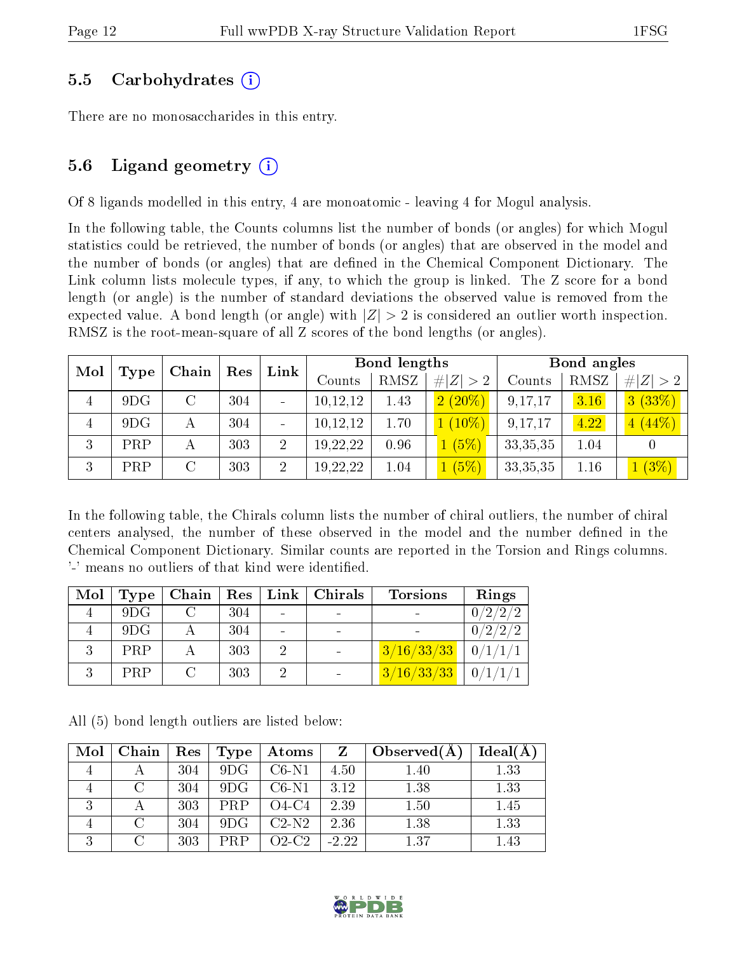#### 5.5 Carbohydrates (i)

There are no monosaccharides in this entry.

#### 5.6 Ligand geometry  $(i)$

Of 8 ligands modelled in this entry, 4 are monoatomic - leaving 4 for Mogul analysis.

In the following table, the Counts columns list the number of bonds (or angles) for which Mogul statistics could be retrieved, the number of bonds (or angles) that are observed in the model and the number of bonds (or angles) that are defined in the Chemical Component Dictionary. The Link column lists molecule types, if any, to which the group is linked. The Z score for a bond length (or angle) is the number of standard deviations the observed value is removed from the expected value. A bond length (or angle) with  $|Z| > 2$  is considered an outlier worth inspection. RMSZ is the root-mean-square of all Z scores of the bond lengths (or angles).

| Mol |      | Chain | Res | Link           | Bond lengths |      |             | Bond angles |      |             |
|-----|------|-------|-----|----------------|--------------|------|-------------|-------------|------|-------------|
|     | Type |       |     |                | Counts       | RMSZ | # $ Z  > 2$ | Counts      | RMSZ | # $ Z  > 2$ |
| 4   | 9DG  |       | 304 |                | 10,12,12     | 1.43 | $2(20\%)$   | 9,17,17     | 3.16 | 3(33%)      |
| 4   | 9DG  | А     | 304 |                | 10,12,12     | 1.70 | $1(10\%)$   | 9,17,17     | 4.22 | 4(44%)      |
| 3   | PRP  |       | 303 | $\overline{2}$ | 19,22,22     | 0.96 | 1(5%)       | 33, 35, 35  | 1.04 |             |
| 3   | PRP  |       | 303 | $\overline{2}$ | 19,22,22     | 1.04 | $1(5\%)$    | 33, 35, 35  | 1.16 | $1(3\%)$    |

In the following table, the Chirals column lists the number of chiral outliers, the number of chiral centers analysed, the number of these observed in the model and the number defined in the Chemical Component Dictionary. Similar counts are reported in the Torsion and Rings columns. '-' means no outliers of that kind were identified.

| Mol | Type | Chain | Res | $Link \mid$ | $\vert$ Chirals | <b>Torsions</b> | Rings   |
|-----|------|-------|-----|-------------|-----------------|-----------------|---------|
|     | 9DG  |       | 304 |             |                 |                 |         |
|     | 9DG  |       | 304 |             |                 |                 | 0/2/2/2 |
|     | PRP  |       | 303 |             |                 | 3/16/33/33      | 0/1/1/1 |
|     | PRP  |       | 303 |             |                 | 3/16/33/33      | 0/1/1/1 |

All (5) bond length outliers are listed below:

| Mol | Chain  | Res | Type | Atoms   |         | Observed $(A)$ | Ideal(A |
|-----|--------|-----|------|---------|---------|----------------|---------|
|     |        | 304 | 9DG  | $C6-N1$ | 4.50    | 1.40           | 1.33    |
|     |        | 304 | 9DG  | $C6-N1$ | 3.12    | 1.38           | 1.33    |
|     |        | 303 | PRP  | O4-C4   | 2.39    | 1.50           | 1.45    |
|     | $\cap$ | 304 | 9DG  | $C2-N2$ | 2.36    | 1.38           | 1.33    |
| 9   |        | 303 | PRP  | O2-C2   | $-2.22$ | 1.37           | 1.43    |

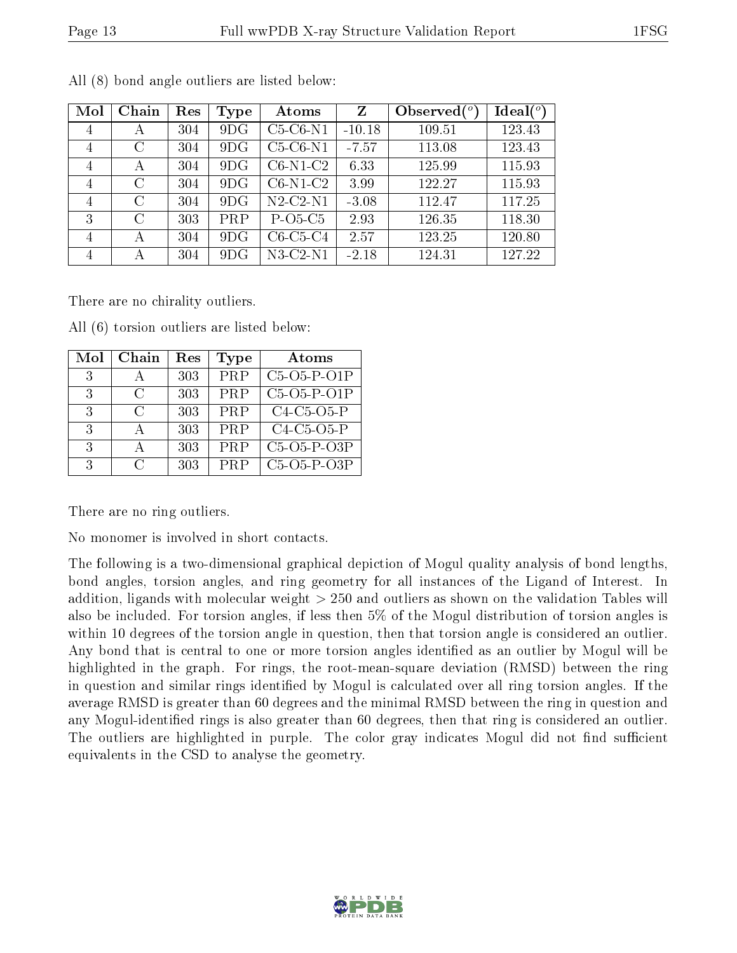| Mol            | Chain   | Res | Type       | Atoms      | Z        | Observed $(°)$ | Ideal $(°)$ |
|----------------|---------|-----|------------|------------|----------|----------------|-------------|
| 4              | А       | 304 | 9DG        | $C5-C6-N1$ | $-10.18$ | 109.51         | 123.43      |
| $\overline{4}$ | $\rm C$ | 304 | 9DG        | $C5-C6-N1$ | $-7.57$  | 113.08         | 123.43      |
| 4              | А       | 304 | 9DG        | $C6-N1-C2$ | 6.33     | 125.99         | 115.93      |
| $\overline{4}$ | $\rm C$ | 304 | 9DG        | $C6-N1-C2$ | 3.99     | 122.27         | 115.93      |
| 4              | C       | 304 | 9DG        | $N2-C2-N1$ | $-3.08$  | 112.47         | 117.25      |
| 3              | $\rm C$ | 303 | <b>PRP</b> | $P-O5-C5$  | 2.93     | 126.35         | 118.30      |
| 4              | А       | 304 | 9DG        | $C6-C5-C4$ | 2.57     | 123.25         | 120.80      |
| 4              | А       | 304 | 9DG        | $N3-C2-N1$ | $-2.18$  | 124.31         | 127.22      |

All (8) bond angle outliers are listed below:

There are no chirality outliers.

| Mol | Chain         | Res | Type       | Atoms         |
|-----|---------------|-----|------------|---------------|
| 3   | $\mathsf{A}$  | 303 | PRP        | $C5-O5-P-O1P$ |
| 3   | $\mathcal{C}$ | 303 | PRP        | $C5-O5-P-O1P$ |
| 3   | C             | 303 | <b>PRP</b> | $C4-C5-O5-P$  |
| 3   | А             | 303 | PRP        | $C4-C5-O5-P$  |
| 3   | $\mathbf{A}$  | 303 | PRP        | $C5-O5-P-O3P$ |
| 3   | ⊖             | 303 | PRP        | $C5-O5-P-O3P$ |

All (6) torsion outliers are listed below:

There are no ring outliers.

No monomer is involved in short contacts.

The following is a two-dimensional graphical depiction of Mogul quality analysis of bond lengths, bond angles, torsion angles, and ring geometry for all instances of the Ligand of Interest. In addition, ligands with molecular weight > 250 and outliers as shown on the validation Tables will also be included. For torsion angles, if less then 5% of the Mogul distribution of torsion angles is within 10 degrees of the torsion angle in question, then that torsion angle is considered an outlier. Any bond that is central to one or more torsion angles identified as an outlier by Mogul will be highlighted in the graph. For rings, the root-mean-square deviation (RMSD) between the ring in question and similar rings identified by Mogul is calculated over all ring torsion angles. If the average RMSD is greater than 60 degrees and the minimal RMSD between the ring in question and any Mogul-identified rings is also greater than 60 degrees, then that ring is considered an outlier. The outliers are highlighted in purple. The color gray indicates Mogul did not find sufficient equivalents in the CSD to analyse the geometry.

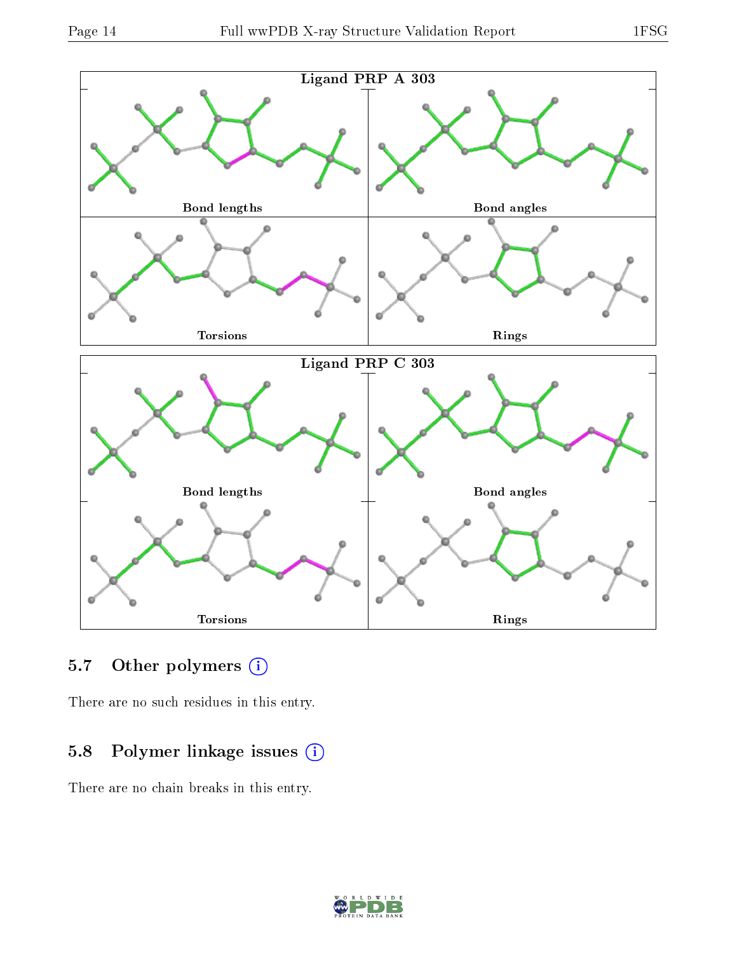

### 5.7 [O](https://www.wwpdb.org/validation/2017/XrayValidationReportHelp#nonstandard_residues_and_ligands)ther polymers (i)

There are no such residues in this entry.

### 5.8 Polymer linkage issues (i)

There are no chain breaks in this entry.

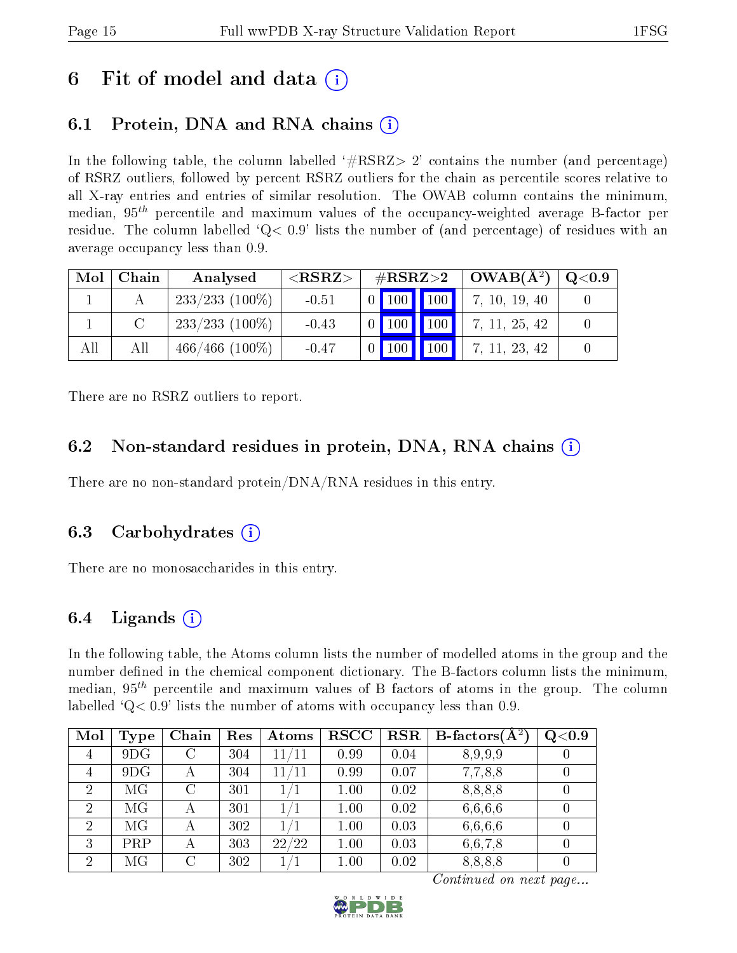## 6 Fit of model and data  $\circ$

## 6.1 Protein, DNA and RNA chains (i)

In the following table, the column labelled  $#RSRZ> 2'$  contains the number (and percentage) of RSRZ outliers, followed by percent RSRZ outliers for the chain as percentile scores relative to all X-ray entries and entries of similar resolution. The OWAB column contains the minimum, median,  $95<sup>th</sup>$  percentile and maximum values of the occupancy-weighted average B-factor per residue. The column labelled  $Q< 0.9$  lists the number of (and percentage) of residues with an average occupancy less than 0.9.

| Mol | Chain | Analysed          | ${ <\hspace{-1.5pt}{\mathrm{RSRZ}} \hspace{-1.5pt}>}$ | $\rm \#RSRZ{>}2$ |                             |                     | $+OWAB(A^2)$  | $\mathrm{Q} {<} 0.9$ |
|-----|-------|-------------------|-------------------------------------------------------|------------------|-----------------------------|---------------------|---------------|----------------------|
|     |       | $233/233$ (100\%) | $-0.51$                                               |                  | 0 100 100                   |                     | 7, 10, 19, 40 |                      |
|     |       | $233/233$ (100\%) | $-0.43$                                               |                  | $\vert$ 100 $\vert$ $\vert$ | $\vert$ 100 $\vert$ | 7, 11, 25, 42 |                      |
| All | All   | $466/466$ (100\%) | $-0.47$                                               |                  | Ш<br>$\vert$ 100 $\vert$    | $\vert$ 100 $\vert$ | 7, 11, 23, 42 |                      |

There are no RSRZ outliers to report.

### 6.2 Non-standard residues in protein, DNA, RNA chains (i)

There are no non-standard protein/DNA/RNA residues in this entry.

#### 6.3 Carbohydrates (i)

There are no monosaccharides in this entry.

### 6.4 Ligands  $(i)$

In the following table, the Atoms column lists the number of modelled atoms in the group and the number defined in the chemical component dictionary. The B-factors column lists the minimum, median,  $95<sup>th</sup>$  percentile and maximum values of B factors of atoms in the group. The column labelled  $Q< 0.9$ ' lists the number of atoms with occupancy less than 0.9.

| Mol            | Type | Chain         | $\operatorname{Res}% \left( \mathcal{N}\right) \equiv\operatorname{Res}(\mathcal{N}_{0})\cap\mathcal{N}_{1}$ | <b>Atoms</b> | $_{\rm RSCC}$ | <b>RSR</b> | B-factors $\overline{(\widetilde{A}^2)}$ | Q <sub>0.9</sub> |
|----------------|------|---------------|--------------------------------------------------------------------------------------------------------------|--------------|---------------|------------|------------------------------------------|------------------|
| $\overline{4}$ | 9DG  | С             | 304                                                                                                          | 11/11        | 0.99          | 0.04       | 8,9,9,9                                  |                  |
| $\overline{4}$ | 9DG  |               | 304                                                                                                          | 11/11        | 0.99          | 0.07       | 7,7,8,8                                  |                  |
| $\overline{2}$ | МG   | $\mathcal{C}$ | 301                                                                                                          | 1/1          | 1.00          | 0.02       | 8,8,8,8                                  |                  |
| 2              | МG   |               | 301                                                                                                          | 1/1          | 1.00          | 0.02       | 6,6,6,6                                  |                  |
| 2              | MG   |               | 302                                                                                                          | 1/1          | 1.00          | 0.03       | 6,6,6,6                                  |                  |
| 3              | PRP  |               | 303                                                                                                          | 22/22        | 1.00          | 0.03       | 6,6,7,8                                  |                  |
| 2              | МG   | С             | 302                                                                                                          | $1/1\,$      | 1.00          | 0.02       | 8,8,8,8                                  |                  |

Continued on next page...

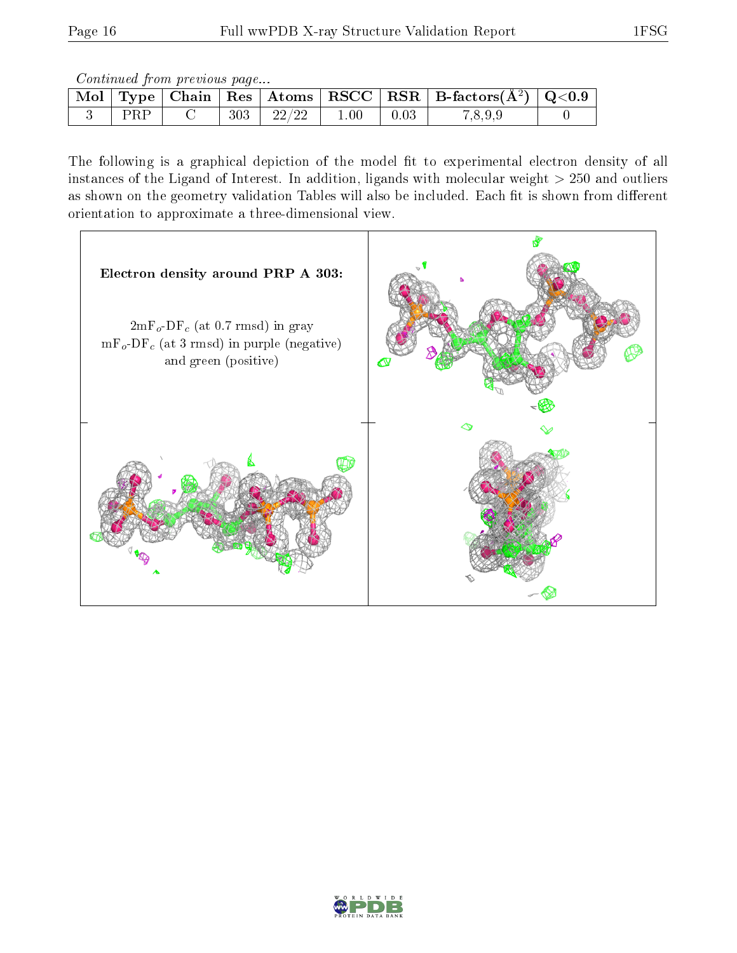Continued from previous page...

|  |     |       |          |      | Mol   Type   Chain   Res   Atoms   RSCC   RSR   B-factors $(A^2)$   Q<0.9 |  |
|--|-----|-------|----------|------|---------------------------------------------------------------------------|--|
|  | 303 | 22/22 | $1.00\,$ | 0.03 | 7.8.9.9                                                                   |  |

The following is a graphical depiction of the model fit to experimental electron density of all instances of the Ligand of Interest. In addition, ligands with molecular weight  $> 250$  and outliers as shown on the geometry validation Tables will also be included. Each fit is shown from different orientation to approximate a three-dimensional view.